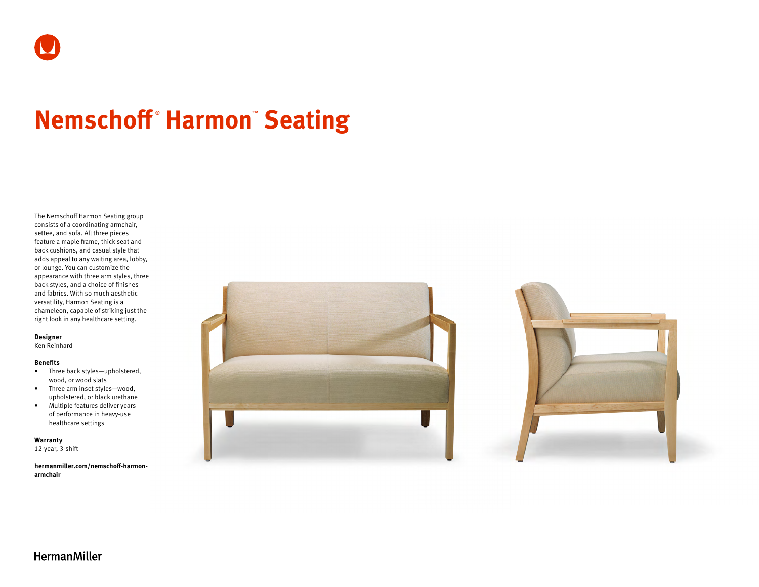# **Nemschoff ® Harmon™ Seating**

The Nemschoff Harmon Seating group consists of a coordinating armchair, settee, and sofa. All three pieces feature a maple frame, thick seat and back cushions, and casual style that adds appeal to any waiting area, lobby, or lounge. You can customize the appearance with three arm styles, three back styles, and a choice of finishes and fabrics. With so much aesthetic versatility, Harmon Seating is a chameleon, capable of striking just the right look in any healthcare setting.

# **Designer**

Ken Reinhard

### **Benefits**

- Three back styles—upholstered, wood, or wood slats
- Three arm inset styles—wood, upholstered, or black urethane
- Multiple features deliver years of performance in heavy-use healthcare settings

**Warranty**  12-year, 3-shift

**[hermanmiller.com/nemschoff-harmon](http://hermanmiller.com/nemschoff-harmon-armchair)[armchair](http://hermanmiller.com/nemschoff-harmon-armchair)**